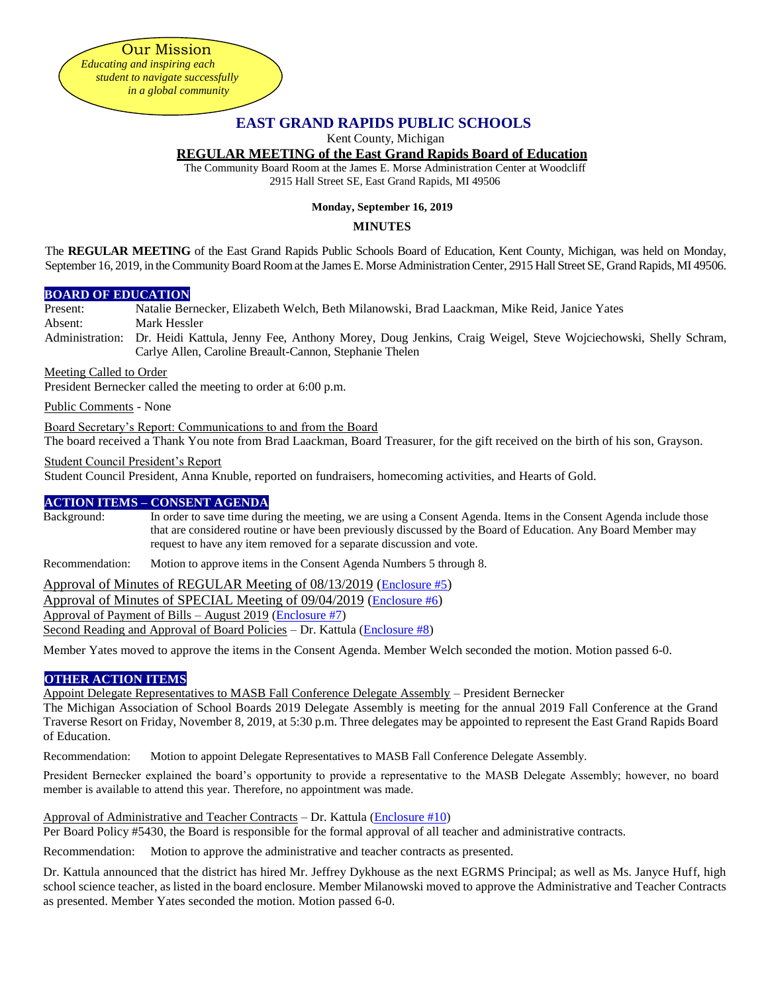Our Mission

*Educating and inspiring each student to navigate successfully in a global community*

# **EAST GRAND RAPIDS PUBLIC SCHOOLS**

Kent County, Michigan

#### **REGULAR MEETING of the East Grand Rapids Board of Education**

The Community Board Room at the James E. Morse Administration Center at Woodcliff 2915 Hall Street SE, East Grand Rapids, MI 49506

#### **Monday, September 16, 2019**

## **MINUTES**

The **REGULAR MEETING** of the East Grand Rapids Public Schools Board of Education, Kent County, Michigan, was held on Monday, September 16, 2019, in the Community Board Room at the James E. Morse Administration Center, 2915 Hall Street SE, Grand Rapids, MI 49506.

#### **BOARD OF EDUCATION**

Present: Natalie Bernecker, Elizabeth Welch, Beth Milanowski, Brad Laackman, Mike Reid, Janice Yates Absent: Mark Hessler

Administration: Dr. Heidi Kattula, Jenny Fee, Anthony Morey, Doug Jenkins, Craig Weigel, Steve Wojciechowski, Shelly Schram, Carlye Allen, Caroline Breault-Cannon, Stephanie Thelen

Meeting Called to Order

President Bernecker called the meeting to order at 6:00 p.m.

Public Comments - None

Board Secretary's Report: Communications to and from the Board

The board received a Thank You note from Brad Laackman, Board Treasurer, for the gift received on the birth of his son, Grayson.

## Student Council President's Report

Student Council President, Anna Knuble, reported on fundraisers, homecoming activities, and Hearts of Gold.

## **ACTION ITEMS – CONSENT AGENDA**

Background: In order to save time during the meeting, we are using a Consent Agenda. Items in the Consent Agenda include those that are considered routine or have been previously discussed by the Board of Education. Any Board Member may request to have any item removed for a separate discussion and vote.

Recommendation: Motion to approve items in the Consent Agenda Numbers 5 through 8.

Approval of Minutes of REGULAR Meeting of 08/13/2019 ([Enclosure #5](https://drive.google.com/file/d/1GkIoPVcS0bsLwo5einwAc0ejUru12ZvA/view?usp=sharing)) Approval of Minutes of SPECIAL Meeting of 09/04/2019 ([Enclosure #6](https://drive.google.com/file/d/1CyW5cWxkZmicYdj7PysM-KTgesZ7qQKL/view?usp=sharing)) Approval of Payment of Bills – August 2019 [\(Enclosure #7\)](https://drive.google.com/file/d/1HWjYS1nXd9Nw4vvSwniO1x3fDca0z2hY/view?usp=sharing) Second Reading and Approval of Board Policies – Dr. Kattula [\(Enclosure #8\)](https://drive.google.com/file/d/1HVHFizUj1u7rBcQjqZ2WBlTp9aWzI56q/view?usp=sharing)

Member Yates moved to approve the items in the Consent Agenda. Member Welch seconded the motion. Motion passed 6-0.

## **OTHER ACTION ITEMS**

Appoint Delegate Representatives to MASB Fall Conference Delegate Assembly – President Bernecker

The Michigan Association of School Boards 2019 Delegate Assembly is meeting for the annual 2019 Fall Conference at the Grand Traverse Resort on Friday, November 8, 2019, at 5:30 p.m. Three delegates may be appointed to represent the East Grand Rapids Board of Education.

Recommendation: Motion to appoint Delegate Representatives to MASB Fall Conference Delegate Assembly.

President Bernecker explained the board's opportunity to provide a representative to the MASB Delegate Assembly; however, no board member is available to attend this year. Therefore, no appointment was made.

## Approval of Administrative and Teacher Contracts – Dr. Kattula [\(Enclosure #10\)](https://drive.google.com/file/d/1H8V33_7yZTc-TDwqjgjAZJu0-f6CS0tH/view?usp=sharing)

Per Board Policy #5430, the Board is responsible for the formal approval of all teacher and administrative contracts.

Recommendation: Motion to approve the administrative and teacher contracts as presented.

Dr. Kattula announced that the district has hired Mr. Jeffrey Dykhouse as the next EGRMS Principal; as well as Ms. Janyce Huff, high school science teacher, as listed in the board enclosure. Member Milanowski moved to approve the Administrative and Teacher Contracts as presented. Member Yates seconded the motion. Motion passed 6-0.